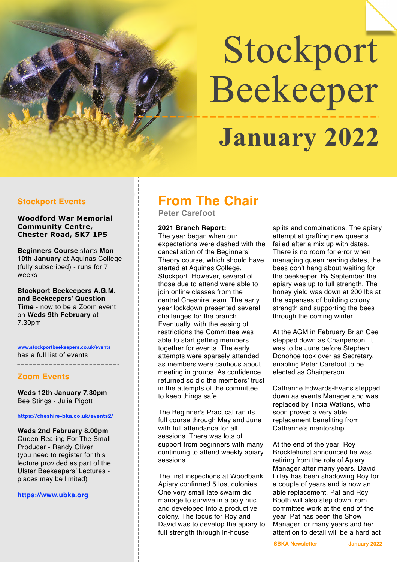# Stockport Beekeeper  **January 2022**

## **Stockport Events**

**Woodford War Memorial Community Centre, Chester Road, SK7 1PS**

**Beginners Course** starts **Mon 10th January** at Aquinas College (fully subscribed) - runs for 7 weeks

**Stockport Beekeepers A.G.M. and Beekeepers' Question Time** - now to be a Zoom event on **Weds 9th February** at 7.30pm

**www.stockportbeekeepers.co.uk/events** has a full list of events

## **Zoom Events**

**Weds 12th January 7.30pm** Bee Stings - Julia Pigott

**https://cheshire-bka.co.uk/events2/**

**Weds 2nd February 8.00pm** Queen Rearing For The Small Producer - Randy Oliver (you need to register for this lecture provided as part of the Ulster Beekeepers' Lectures places may be limited)

#### **https://www.ubka.org**

# **From The Chair**

**Peter Carefoot** 

#### **2021 Branch Report:**

The year began when our expectations were dashed with the cancellation of the Beginners' Theory course, which should have started at Aquinas College. Stockport. However, several of those due to attend were able to join online classes from the central Cheshire team. The early year lockdown presented several challenges for the branch. Eventually, with the easing of restrictions the Committee was able to start getting members together for events. The early attempts were sparsely attended as members were cautious about meeting in groups. As confidence returned so did the members' trust in the attempts of the committee to keep things safe.

The Beginner's Practical ran its full course through May and June with full attendance for all sessions. There was lots of support from beginners with many continuing to attend weekly apiary sessions.

The first inspections at Woodbank Apiary confirmed 5 lost colonies. One very small late swarm did manage to survive in a poly nuc and developed into a productive colony. The focus for Roy and David was to develop the apiary to full strength through in-house

splits and combinations. The apiary attempt at grafting new queens failed after a mix up with dates. There is no room for error when managing queen rearing dates, the bees don't hang about waiting for the beekeeper. By September the apiary was up to full strength. The honey yield was down at 200 lbs at the expenses of building colony strength and supporting the bees through the coming winter.

At the AGM in February Brian Gee stepped down as Chairperson. It was to be June before Stephen Donohoe took over as Secretary, enabling Peter Carefoot to be elected as Chairperson.

Catherine Edwards-Evans stepped down as events Manager and was replaced by Tricia Watkins, who soon proved a very able replacement benefiting from Catherine's mentorship.

At the end of the year, Roy Brocklehurst announced he was retiring from the role of Apiary Manager after many years. David Lilley has been shadowing Roy for a couple of years and is now an able replacement. Pat and Roy Booth will also step down from committee work at the end of the year. Pat has been the Show Manager for many years and her attention to detail will be a hard act

**SBKA Newsletter January 2022**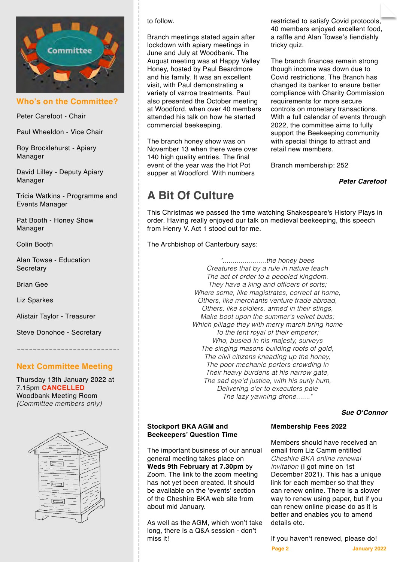

**Who's on the Committee?**

Peter Carefoot - Chair

Paul Wheeldon - Vice Chair

Roy Brocklehurst - Apiary Manager

David Lilley - Deputy Apiary Manager

Tricia Watkins - Programme and Events Manager

Pat Booth - Honey Show Manager

Colin Booth

Alan Towse - Education **Secretary** 

Brian Gee

Liz Sparkes

Alistair Taylor - Treasurer

Steve Donohoe - Secretary

## **Next Committee Meeting**

Thursday 13th January 2022 at 7.15pm **CANCELLED** Woodbank Meeting Room *(Committee members only)*



to follow.

Branch meetings stated again after lockdown with apiary meetings in June and July at Woodbank. The August meeting was at Happy Valley Honey, hosted by Paul Beardmore and his family. It was an excellent visit, with Paul demonstrating a variety of varroa treatments. Paul also presented the October meeting at Woodford, when over 40 members attended his talk on how he started commercial beekeeping.

The branch honey show was on November 13 when there were over 140 high quality entries. The final event of the year was the Hot Pot supper at Woodford. With numbers

# **A Bit Of Culture**

restricted to satisfy Covid protocols, 40 members enjoyed excellent food, a raffle and Alan Towse's fiendishly tricky quiz.

The branch finances remain strong though income was down due to Covid restrictions. The Branch has changed its banker to ensure better compliance with Charity Commission requirements for more secure controls on monetary transactions. With a full calendar of events through 2022, the committee aims to fully support the Beekeeping community with special things to attract and retail new members.

Branch membership: 252

*Peter Carefoot*

This Christmas we passed the time watching Shakespeare's History Plays in order. Having really enjoyed our talk on medieval beekeeping, this speech from Henry V. Act 1 stood out for me.

The Archbishop of Canterbury says:

*"......................the honey bees Creatures that by a rule in nature teach The act of order to a peopled kingdom. They have a king and officers of sorts; Where some, like magistrates, correct at home, Others, like merchants venture trade abroad, Others, like soldiers, armed in their stings, Make boot upon the summer's velvet buds; Which pillage they with merry march bring home To the tent royal of their emperor; Who, busied in his majesty, surveys The singing masons building roofs of gold, The civil citizens kneading up the honey, The poor mechanic porters crowding in Their heavy burdens at his narrow gate, The sad eye'd justice, with his surly hum, Delivering o'er to executors pale The lazy yawning drone......."*

*Sue O'Connor*

#### **Stockport BKA AGM and Beekeepers' Question Time**

The important business of our annual general meeting takes place on **Weds 9th February at 7.30pm** by Zoom. The link to the zoom meeting has not yet been created. It should be available on the 'events' section of the Cheshire BKA web site from about mid January.

As well as the AGM, which won't take long, there is a Q&A session - don't miss it!

#### **Membership Fees 2022**

Members should have received an email from Liz Camm entitled *Cheshire BKA online renewal invitation* (I got mine on 1st December 2021). This has a unique link for each member so that they can renew online. There is a slower way to renew using paper, but if you can renew online please do as it is better and enables you to amend details etc.

**Page 2 January 2022** If you haven't renewed, please do!